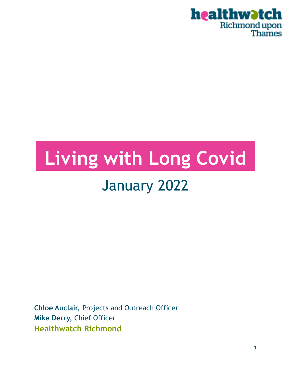

# **.Living with Long Covid.**

## January 2022

**Chloe Auclair,** Projects and Outreach Officer **Mike Derry,** Chief Officer **Healthwatch Richmond**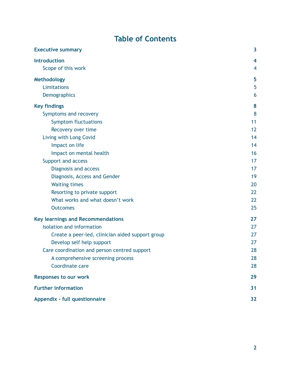### **Table of Contents**

| <b>Executive summary</b>                         | 3              |
|--------------------------------------------------|----------------|
| <b>Introduction</b>                              | 4              |
| Scope of this work                               | $\overline{4}$ |
| Methodology                                      | 5              |
| Limitations                                      | 5              |
| <b>Demographics</b>                              | 6              |
| <b>Key findings</b>                              | 8              |
| Symptoms and recovery                            | 8              |
| <b>Symptom fluctuations</b>                      | 11             |
| Recovery over time                               | 12             |
| Living with Long Covid                           | 14             |
| Impact on life                                   | 14             |
| Impact on mental health                          | 16             |
| Support and access                               | 17             |
| Diagnosis and access                             | 17             |
| Diagnosis, Access and Gender                     | 19             |
| <b>Waiting times</b>                             | 20             |
| Resorting to private support                     | 22             |
| What works and what doesn't work                 | 22             |
| <b>Outcomes</b>                                  | 25             |
| <b>Key learnings and Recommendations</b>         | 27             |
| <b>Isolation and information</b>                 | 27             |
| Create a peer-led, clinician aided support group | 27             |
| Develop self help support                        | 27             |
| Care coordination and person centred support     | 28             |
| A comprehensive screening process                | 28             |
| Coordinate care                                  | 28             |
| <b>Responses to our work</b>                     | 29             |
| <b>Further information</b>                       | 31             |
| Appendix - full questionnaire                    | 32             |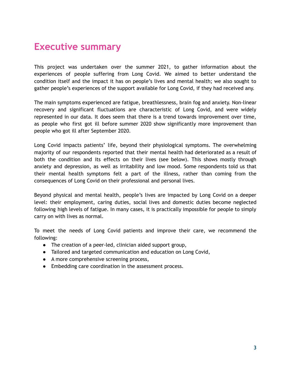### **Executive summary**

This project was undertaken over the summer 2021, to gather information about the experiences of people suffering from Long Covid. We aimed to better understand the condition itself and the impact it has on people's lives and mental health; we also sought to gather people's experiences of the support available for Long Covid, if they had received any.

The main symptoms experienced are fatigue, breathlessness, brain fog and anxiety. Non-linear recovery and significant fluctuations are characteristic of Long Covid, and were widely represented in our data. It does seem that there is a trend towards improvement over time, as people who first got ill before summer 2020 show significantly more improvement than people who got ill after September 2020.

Long Covid impacts patients' life, beyond their physiological symptoms. The overwhelming majority of our respondents reported that their mental health had deteriorated as a result of both the condition and its effects on their lives (see below). This shows mostly through anxiety and depression, as well as irritability and low mood. Some respondents told us that their mental health symptoms felt a part of the illness, rather than coming from the consequences of Long Covid on their professional and personal lives.

Beyond physical and mental health, people's lives are impacted by Long Covid on a deeper level: their employment, caring duties, social lives and domestic duties become neglected following high levels of fatigue. In many cases, it is practically impossible for people to simply carry on with lives as normal.

To meet the needs of Long Covid patients and improve their care, we recommend the following:

- The creation of a peer-led, clinician aided support group,
- Tailored and targeted communication and education on Long Covid,
- A more comprehensive screening process,
- Embedding care coordination in the assessment process.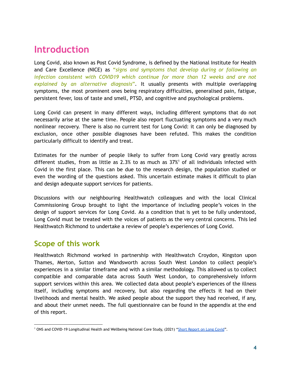### <span id="page-3-0"></span>**Introduction**

Long Covid, also known as Post Covid Syndrome, is defined by the National Institute for Health and Care Excellence (NICE) as "*signs and symptoms that develop during or following an infection consistent with COVID19 which continue for more than 12 weeks and are not explained by an alternative diagnosis*". It usually presents with multiple overlapping symptoms, the most prominent ones being respiratory difficulties, generalised pain, fatigue, persistent fever, loss of taste and smell, PTSD, and cognitive and psychological problems.

Long Covid can present in many different ways, including different symptoms that do not necessarily arise at the same time. People also report fluctuating symptoms and a very much nonlinear recovery. There is also no current test for Long Covid: it can only be diagnosed by exclusion, once other possible diagnoses have been refuted. This makes the condition particularly difficult to identify and treat.

Estimates for the number of people likely to suffer from Long Covid vary greatly across different studies, from as little as 2.3% to as much as  $37\%$ <sup>1</sup> of all individuals infected with Covid in the first place. This can be due to the research design, the population studied or even the wording of the questions asked. This uncertain estimate makes it difficult to plan and design adequate support services for patients.

Discussions with our neighbouring Healthwatch colleagues and with the local Clinical Commissioning Group brought to light the importance of including people's voices in the design of support services for Long Covid. As a condition that is yet to be fully understood, Long Covid must be treated with the voices of patients as the very central concerns. This led Healthwatch Richmond to undertake a review of people's experiences of Long Covid.

### <span id="page-3-1"></span>**Scope of this work**

Healthwatch Richmond worked in partnership with Healthwatch Croydon, Kingston upon Thames, Merton, Sutton and Wandsworth across South West London to collect people's experiences in a similar timeframe and with a similar methodology. This allowed us to collect compatible and comparable data across South West London, to comprehensively inform support services within this area. We collected data about people's experiences of the illness itself, including symptoms and recovery, but also regarding the effects it had on their livelihoods and mental health. We asked people about the support they had received, if any, and about their unmet needs. The full questionnaire can be found in the appendix at the end of this report.

<sup>&</sup>lt;sup>1</sup> ONS and COVID-19 Longitudinal Health and Wellbeing National Core Study, (2021) "Short [Report](https://assets.publishing.service.gov.uk/government/uploads/system/uploads/attachment_data/file/1007511/S1327_Short_Long_COVID_report.pdf) on Long Covid".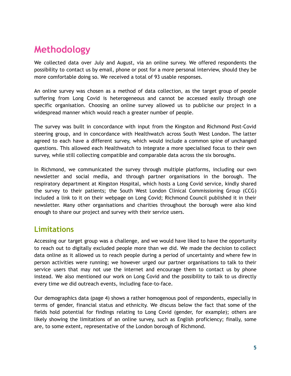### <span id="page-4-0"></span>**Methodology**

We collected data over July and August, via an online survey. We offered respondents the possibility to contact us by email, phone or post for a more personal interview, should they be more comfortable doing so. We received a total of 93 usable responses.

An online survey was chosen as a method of data collection, as the target group of people suffering from Long Covid is heterogeneous and cannot be accessed easily through one specific organisation. Choosing an online survey allowed us to publicise our project in a widespread manner which would reach a greater number of people.

The survey was built in concordance with input from the Kingston and Richmond Post-Covid steering group, and in concordance with Healthwatch across South West London. The latter agreed to each have a different survey, which would include a common spine of unchanged questions. This allowed each Healthwatch to integrate a more specialised focus to their own survey, while still collecting compatible and comparable data across the six boroughs.

In Richmond, we communicated the survey through multiple platforms, including our own newsletter and social media, and through partner organisations in the borough. The respiratory department at Kingston Hospital, which hosts a Long Covid service, kindly shared the survey to their patients; the South West London Clinical Commissioning Group (CCG) included a link to it on their webpage on Long Covid; Richmond Council published it in their newsletter. Many other organisations and charities throughout the borough were also kind enough to share our project and survey with their service users.

### <span id="page-4-1"></span>**Limitations**

Accessing our target group was a challenge, and we would have liked to have the opportunity to reach out to digitally excluded people more than we did. We made the decision to collect data online as it allowed us to reach people during a period of uncertainty and where few in person activities were running; we however urged our partner organisations to talk to their service users that may not use the internet and encourage them to contact us by phone instead. We also mentioned our work on Long Covid and the possibility to talk to us directly every time we did outreach events, including face-to-face.

Our demographics data (page 4) shows a rather homogenous pool of respondents, especially in terms of gender, financial status and ethnicity. We discuss below the fact that some of the fields hold potential for findings relating to Long Covid (gender, for example); others are likely showing the limitations of an online survey, such as English proficiency; finally, some are, to some extent, representative of the London borough of Richmond.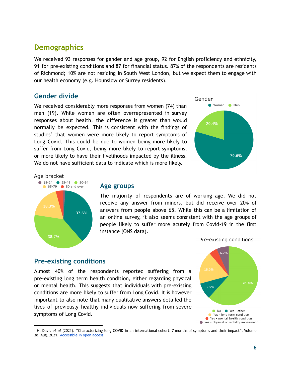### <span id="page-5-0"></span>**Demographics**

We received 93 responses for gender and age group, 92 for English proficiency and ethnicity, 91 for pre-existing conditions and 87 for financial status. 87% of the respondents are residents of Richmond; 10% are not residing in South West London, but we expect them to engage with our health economy (e.g. Hounslow or Surrey residents).

### **Gender divide**

We received considerably more responses from women (74) than men (19). While women are often overrepresented in survey responses about health, the difference is greater than would normally be expected. This is consistent with the findings of studies<sup>2</sup> that women were more likely to report symptoms of Long Covid. This could be due to women being more likely to suffer from Long Covid, being more likely to report symptoms, or more likely to have their livelihoods impacted by the illness. We do not have sufficient data to indicate which is more likely.



Age bracket



### **Age groups**

The majority of respondents are of working age. We did not receive any answer from minors, but did receive over 20% of answers from people above 65. While this can be a limitation of an online survey, it also seems consistent with the age groups of people likely to suffer more acutely from Covid-19 in the first instance (ONS data).

Pre-existing conditions

### **Pre-existing conditions**

Almost 40% of the respondents reported suffering from a pre-existing long term health condition, either regarding physical or mental health. This suggests that individuals with pre-existing conditions are more likely to suffer from Long Covid. It is however important to also note that many qualitative answers detailed the lives of previously healthy individuals now suffering from severe symptoms of Long Covid.



<sup>2</sup> H. Davis *et al* (2021). "Characterizing long COVID in an international cohort: 7 months of symptoms and their impact". Volume 38, Aug. 2021. [Accessible](https://www.thelancet.com/journals/eclinm/article/PIIS2589-5370(21)00299-6/fulltext#articleInformation) in open access.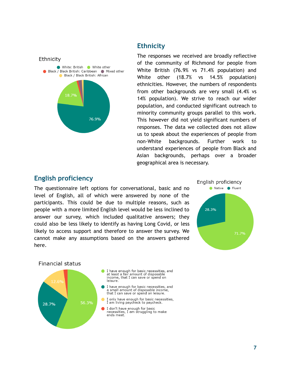

### **Ethnicity**

The responses we received are broadly reflective of the community of Richmond for people from White British (76.9% vs 71.4% population) and White other (18.7% vs 14.5% population) ethnicities. However, the numbers of respondents from other backgrounds are very small (4.4% vs 14% population). We strive to reach our wider population, and conducted significant outreach to minority community groups parallel to this work. This however did not yield significant numbers of responses. The data we collected does not allow us to speak about the experiences of people from non-White backgrounds. Further work to understand experiences of people from Black and Asian backgrounds, perhaps over a broader geographical area is necessary.

### **English proficiency**

The questionnaire left options for conversational, basic and no level of English, all of which were answered by none of the participants. This could be due to multiple reasons, such as people with a more limited English level would be less inclined to answer our survey, which included qualitative answers; they could also be less likely to identify as having Long Covid, or less likely to access support and therefore to answer the survey. We cannot make any assumptions based on the answers gathered here.



### **Financial status**

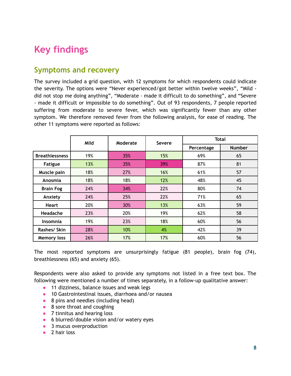### <span id="page-7-0"></span>**Key findings**

### <span id="page-7-1"></span>**Symptoms and recovery**

The survey included a grid question, with 12 symptoms for which respondents could indicate the severity. The options were "Never experienced/got better within twelve weeks", "Mild did not stop me doing anything", "Moderate - made it difficult to do something", and "Severe - made it difficult or impossible to do something". Out of 93 respondents, 7 people reported suffering from moderate to severe fever, which was significantly fewer than any other symptom. We therefore removed fever from the following analysis, for ease of reading. The other 11 symptoms were reported as follows:

|                       | Mild |     | Moderate<br>Severe |            | <b>Total</b>  |  |  |
|-----------------------|------|-----|--------------------|------------|---------------|--|--|
|                       |      |     |                    | Percentage | <b>Number</b> |  |  |
| <b>Breathlessness</b> | 19%  | 35% | 15%                | 69%        | 65            |  |  |
| <b>Fatigue</b>        | 13%  | 35% | 39%                | 87%        | 81            |  |  |
| Muscle pain           | 18%  | 27% | 16%                | 61%        | 57            |  |  |
| Anosmia               | 18%  | 18% | 12%                | 48%        | 45            |  |  |
| <b>Brain Fog</b>      | 24%  | 34% | 22%                | 80%        | 74            |  |  |
| Anxiety               | 24%  | 25% | 22%                | 71%        | 65            |  |  |
| <b>Heart</b>          | 20%  | 30% | 13%                | 63%        | 59            |  |  |
| Headache              | 23%  | 20% | 19%                | 62%        | 58            |  |  |
| <b>Insomnia</b>       | 19%  | 23% | 18%                | 60%        | 56            |  |  |
| Rashes/ Skin          | 28%  | 10% | 4%                 | 42%        | 39            |  |  |
| <b>Memory loss</b>    | 26%  | 17% | 17%                | 60%        | 56            |  |  |

The most reported symptoms are unsurprisingly fatigue (81 people), brain fog (74), breathlessness (65) and anxiety (65).

Respondents were also asked to provide any symptoms not listed in a free text box. The following were mentioned a number of times separately, in a follow-up qualitative answer:

- 11 dizziness, balance issues and weak legs
- 10 Gastrointestinal issues, diarrhoea and/or nausea
- 8 pins and needles (including head)
- 8 sore throat and coughing
- 7 tinnitus and hearing loss
- 6 blurred/double vision and/or watery eyes
- 3 mucus overproduction
- 2 hair loss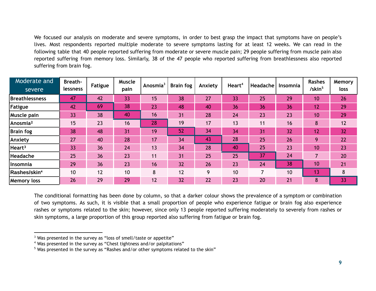We focused our analysis on moderate and severe symptoms, in order to best grasp the impact that symptoms have on people's lives. Most respondents reported multiple moderate to severe symptoms lasting for at least 12 weeks. We can read in the following table that 40 people reported suffering from moderate or severe muscle pain; 29 people suffering from muscle pain also reported suffering from memory loss. Similarly, 38 of the 47 people who reported suffering from breathlessness also reported suffering from brain fog.

| Moderate and<br>severe   | <b>Breath-</b><br><b>lessness</b> | <b>Fatigue</b> | Muscle<br>pain | Anosmia <sup>3</sup> | <b>Brain fog</b> | Anxiety | Heart <sup>4</sup> | Headache | Insomnia | Rashes<br>/skin <sup>5</sup> | Memory<br>loss |
|--------------------------|-----------------------------------|----------------|----------------|----------------------|------------------|---------|--------------------|----------|----------|------------------------------|----------------|
| Breathlessness           | 47                                | 42             | 33             | 15                   | 38               | 27      | 33                 | 25       | 29       | 10                           | 26             |
| Fatigue                  | 42                                | 69             | 38             | 23                   | 48               | 40      | 36                 | 36       | 36       | $\overline{12}$              | 29             |
| Muscle pain              | 33                                | 38             | 40             | 16                   | 31               | 28      | 24                 | 23       | 23       | 10                           | 29             |
| Anosmia <sup>2</sup>     | 15                                | 23             | 16             | 28                   | 19               | 17      | 13                 | 11       | 16       | 8                            | 12             |
| Brain fog                | 38                                | 48             | 31             | 19                   | 52               | 34      | 34                 | 31       | 32       | 12                           | 32             |
| Anxiety                  | 27                                | 40             | 28             | 17                   | 34               | 43      | 28                 | 25       | 26       | 9                            | 22             |
| Heart <sup>3</sup>       | 33                                | 36             | 24             | 13                   | 34               | 28      | 40                 | 25       | 23       | 10                           | 23             |
| Headache                 | 25                                | 36             | 23             | 11                   | 31               | 25      | 25                 | 37       | 24       | $\overline{7}$               | 20             |
| Insomnia                 | 29                                | 36             | 23             | 16                   | 32               | 26      | 23                 | 24       | 38       | 10                           | 21             |
| Rashes/skin <sup>4</sup> | 10                                | 12             | 10             | 8                    | 12               | 9       | 10                 |          | 10       | 13                           | 8              |
| <b>Memory loss</b>       | 26                                | 29             | 29             | 12                   | 32               | 22      | 23                 | 20       | 21       | 8                            | 33             |

The conditional formatting has been done by column, so that a darker colour shows the prevalence of a symptom or combination of two symptoms. As such, it is visible that a small proportion of people who experience fatigue or brain fog also experience rashes or symptoms related to the skin; however, since only 13 people reported suffering moderately to severely from rashes or skin symptoms, a large proportion of this group reported also suffering from fatigue or brain fog.

<sup>&</sup>lt;sup>3</sup> Was presented in the survey as "loss of smell/taste or appetite"

<sup>4</sup> Was presented in the survey as "Chest tightness and/or palpitations"

<sup>&</sup>lt;sup>5</sup> Was presented in the survey as "Rashes and/or other symptoms related to the skin"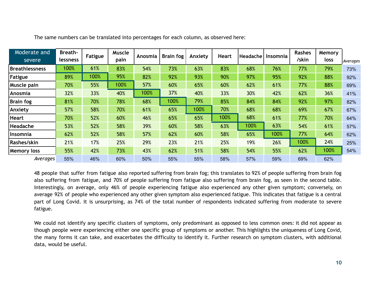| Moderate and<br>severe | <b>Breath-</b><br><b>lessness</b> | Fatigue | <b>Muscle</b><br>pain | Anosmia | <b>Brain fog</b> | Anxiety | <b>Heart</b> | Headache | Insomnia | <b>Rashes</b><br>/skin | Memory<br>loss | Averages |
|------------------------|-----------------------------------|---------|-----------------------|---------|------------------|---------|--------------|----------|----------|------------------------|----------------|----------|
| <b>Breathlessness</b>  | 100%                              | 61%     | 83%                   | 54%     | 73%              | 63%     | 83%          | 68%      | 76%      | 77%                    | 79%            | 73%      |
| Fatigue                | 89%                               | 100%    | 95%                   | 82%     | 92%              | 93%     | 90%          | 97%      | 95%      | 92%                    | 88%            | 92%      |
| <b>Muscle pain</b>     | 70%                               | 55%     | 100%                  | 57%     | 60%              | 65%     | 60%          | 62%      | 61%      | 77%                    | 88%            | 69%      |
| Anosmia                | 32%                               | 33%     | 40%                   | 100%    | 37%              | 40%     | 33%          | 30%      | 42%      | 62%                    | 36%            | 41%      |
| <b>Brain fog</b>       | 81%                               | 70%     | 78%                   | 68%     | 100%             | 79%     | 85%          | 84%      | 84%      | 92%                    | 97%            | 82%      |
| Anxiety                | 57%                               | 58%     | 70%                   | 61%     | 65%              | 100%    | 70%          | 68%      | 68%      | 69%                    | 67%            | 67%      |
| <b>Heart</b>           | 70%                               | 52%     | 60%                   | 46%     | 65%              | 65%     | 100%         | 68%      | 61%      | 77%                    | 70%            | 64%      |
| Headache               | 53%                               | 52%     | 58%                   | 39%     | 60%              | 58%     | 63%          | 100%     | 63%      | 54%                    | 61%            | 57%      |
| <b>Insomnia</b>        | 62%                               | 52%     | 58%                   | 57%     | 62%              | 60%     | 58%          | 65%      | 100%     | 77%                    | 64%            | 62%      |
| Rashes/skin            | 21%                               | 17%     | 25%                   | 29%     | 23%              | 21%     | 25%          | 19%      | 26%      | 100%                   | 24%            | 25%      |
| <b>Memory loss</b>     | 55%                               | 42%     | 73%                   | 43%     | 62%              | 51%     | 58%          | 54%      | 55%      | 62%                    | 100%           | 54%      |
| Averages               | 55%                               | 46%     | 60%                   | 50%     | 55%              | 55%     | 58%          | 57%      | 59%      | 69%                    | 62%            |          |

The same numbers can be translated into percentages for each column, as observed here:

48 people that suffer from fatigue also reported suffering from brain fog; this translates to 92% of people suffering from brain fog also suffering from fatigue, and 70% of people suffering from fatigue also suffering from brain fog, as seen in the second table. Interestingly, on average, only 46% of people experiencing fatigue also experienced any other given symptom; conversely, on average 92% of people who experienced any other given symptom also experienced fatigue. This indicates that fatigue is a central part of Long Covid. It is unsurprising, as 74% of the total number of respondents indicated suffering from moderate to severe fatigue.

We could not identify any specific clusters of symptoms, only predominant as opposed to less common ones: it did not appear as though people were experiencing either one specific group of symptoms or another. This highlights the uniqueness of Long Covid, the many forms it can take, and exacerbates the difficulty to identify it. Further research on symptom clusters, with additional data, would be useful.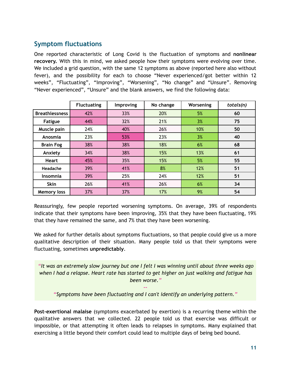### <span id="page-10-0"></span>**Symptom fluctuations**

One reported characteristic of Long Covid is the fluctuation of symptoms and **nonlinear recovery.** With this in mind, we asked people how their symptoms were evolving over time. We included a grid question, with the same 12 symptoms as above (reported here also without fever), and the possibility for each to choose "Never experienced/got better within 12 weeks", "Fluctuating", "Improving", "Worsening", "No change" and "Unsure". Removing "Never experienced", "Unsure" and the blank answers, we find the following data:

|                       | <b>Fluctuating</b> | Improving | No change | Worsening | totals(n) |
|-----------------------|--------------------|-----------|-----------|-----------|-----------|
| <b>Breathlessness</b> | 42%                | 33%       | 20%       | 5%        | 60        |
| <b>Fatigue</b>        | 44%                | 32%       | 21%       | 3%        | 75        |
| Muscle pain           | 24%                | 40%       | 26%       | 10%       | 50        |
| Anosmia               | 23%                | 53%       | 23%       | 3%        | 40        |
| <b>Brain Fog</b>      | 38%                | 38%       | 18%       | 6%        | 68        |
| Anxiety               | 34%                | 38%       | 15%       | 13%       | 61        |
| <b>Heart</b>          | 45%                | 35%       | 15%       | 5%        | 55        |
| Headache              | 39%                | 41%       | 8%        | 12%       | 51        |
| Insomnia              | 39%                | 25%       | 24%       | 12%       | 51        |
| <b>Skin</b>           | 26%                | 41%       | 26%       | 6%        | 34        |
| <b>Memory loss</b>    | 37%                | 37%       | 17%       | 9%        | 54        |

Reassuringly, few people reported worsening symptoms. On average, 39% of respondents indicate that their symptoms have been improving, 35% that they have been fluctuating, 19% that they have remained the same, and 7% that they have been worsening.

We asked for further details about symptoms fluctuations, so that people could give us a more qualitative description of their situation. Many people told us that their symptoms were fluctuating, sometimes **unpredictably**.

*"It was an extremely slow journey but one I felt I was winning until about three weeks ago when I had a relapse. Heart rate has started to get higher on just walking and fatigue has been worse."*

*-- "Symptoms have been fluctuating and I can't identify an underlying pattern."*

**Post-exertional malaise** (symptoms exacerbated by exertion) is a recurring theme within the qualitative answers that we collected. 22 people told us that exercise was difficult or impossible, or that attempting it often leads to relapses in symptoms. Many explained that exercising a little beyond their comfort could lead to multiple days of being bed bound.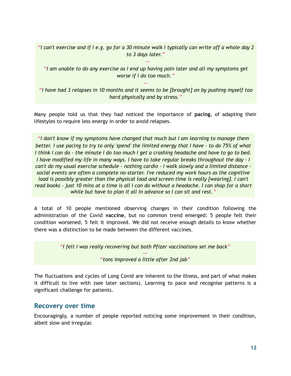"I can't exercise and if I e.g. go for a 30 minute walk I typically can write off a whole day 2 *to 3 days later."*

*--*

"I am unable to do any exercise as I end up having pain later and all my symptoms get *worse if I do too much."*

"I have had 3 relapses in 10 months and it seems to be [brought] on by pushing myself too *hard physically and by stress."*

*--*

Many people told us that they had noticed the importance of **pacing**, of adapting their lifestyles to require less energy in order to avoid relapses.

*"I don't know if my symptoms have changed that much but I am learning to manage them* better. I use pacing to try to only 'spend' the limited energy that I have - to do 75% of what I think I can do - the minute I do too much I get a crashing headache and have to go to bed. *I have modified my life in many ways. I have to take regular breaks throughout the day - I can't do my usual exercise schedule - nothing cardio - I walk slowly and a limited distance social events are often a complete no-starter. I've reduced my work hours as the cognitive load is possibly greater than the physical load and screen time is really [wearing]. I can't* read books - just 10 mins at a time is all I can do without a headache. I can shop for a short *while but have to plan it all in advance so I can sit and rest."*

A total of 10 people mentioned observing changes in their condition following the administration of the Covid **vaccine**, but no common trend emerged: 5 people felt their condition worsened, 5 felt it improved. We did not receive enough details to know whether there was a distinction to be made between the different vaccines.

*"I felt I was really recovering but both Pfizer vaccinations set me back" --*

*"tons improved a little after 2nd jab"*

The fluctuations and cycles of Long Covid are inherent to the illness, and part of what makes it difficult to live with (see later sections). Learning to pace and recognise patterns is a significant challenge for patients.

### <span id="page-11-0"></span>**Recovery over time**

Encouragingly, a number of people reported noticing some improvement in their condition, albeit slow and irregular.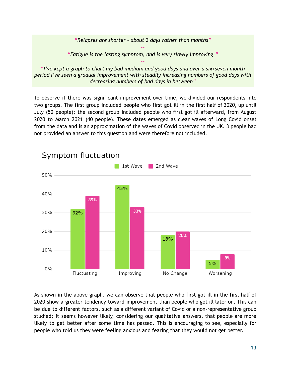*"Relapses are shorter - about 2 days rather than months"*

*-- "Fatigue is the lasting symptom, and is very slowly improving." --*

*"I've kept a graph to chart my bad medium and good days and over a six/seven month period I've seen a gradual improvement with steadily increasing numbers of good days with decreasing numbers of bad days in between"*

To observe if there was significant improvement over time, we divided our respondents into two groups. The first group included people who first got ill in the first half of 2020, up until July (50 people); the second group included people who first got ill afterward, from August 2020 to March 2021 (40 people). These dates emerged as clear waves of Long Covid onset from the data and is an approximation of the waves of Covid observed in the UK. 3 people had not provided an answer to this question and were therefore not included.



As shown in the above graph, we can observe that people who first got ill in the first half of 2020 show a greater tendency toward improvement than people who got ill later on. This can be due to different factors, such as a different variant of Covid or a non-representative group studied; it seems however likely, considering our qualitative answers, that people are more likely to get better after some time has passed. This is encouraging to see, especially for people who told us they were feeling anxious and fearing that they would not get better.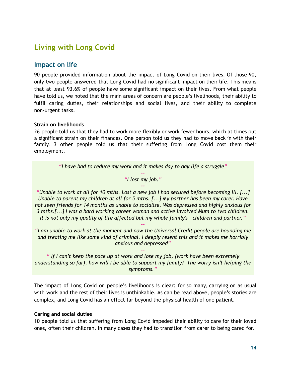### <span id="page-13-0"></span>**Living with Long Covid**

### <span id="page-13-1"></span>**Impact on life**

90 people provided information about the impact of Long Covid on their lives. Of those 90, only two people answered that Long Covid had no significant impact on their life. This means that at least 93.6% of people have some significant impact on their lives. From what people have told us, we noted that the main areas of concern are people's livelihoods, their ability to fulfil caring duties, their relationships and social lives, and their ability to complete non-urgent tasks.

### **Strain on livelihoods**

26 people told us that they had to work more flexibly or work fewer hours, which at times put a significant strain on their finances. One person told us they had to move back in with their family. 3 other people told us that their suffering from Long Covid cost them their employment.

*"I have had to reduce my work and it makes day to day life a struggle"*

*-- "I lost my job." --*

"Unable to work at all for 10 mths. Lost a new job I had secured before becoming ill. [...] *Unable to parent my children at all for 5 mths. [...] My partner has been my carer. Have not seen friends for 14 months as unable to socialise. Was depressed and highly anxious for 3 mths.[...] I was a hard working career woman and active involved Mum to two children. It is not only my quality of life affected but my whole family's - children and partner."*

*"I am unable to work at the moment and now the Universal Credit people are hounding me and treating me like some kind of criminal. I deeply resent this and it makes me horribly anxious and depressed"*

*--*

*" If I can't keep the pace up at work and lose my job, (work have been extremely understanding so far), how will I be able to support my family? The worry isn't helping the symptoms."*

*--*

The impact of Long Covid on people's livelihoods is clear: for so many, carrying on as usual with work and the rest of their lives is unthinkable. As can be read above, people's stories are complex, and Long Covid has an effect far beyond the physical health of one patient.

### **Caring and social duties**

10 people told us that suffering from Long Covid impeded their ability to care for their loved ones, often their children. In many cases they had to transition from carer to being cared for.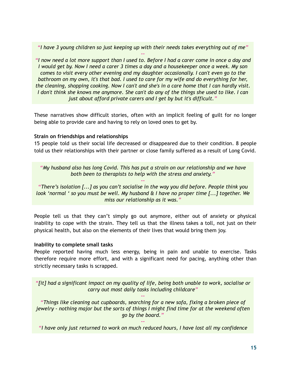*"I have 3 young children so just keeping up with their needs takes everything out of me"*

*--* "I now need a lot more support than I used to. Before I had a carer come in once a day and I would get by. Now I need a carer 3 times a day and a housekeeper once a week. My son *comes to visit every other evening and my daughter occasionally. I can't even go to the bathroom on my own, it's that bad. I used to care for my wife and do everything for her, the cleaning, shopping cooking. Now I can't and she's in a care home that I can hardly visit.* I don't think she knows me anymore. She can't do any of the things she used to like. I can *just about afford private carers and I get by but it's difficult."*

These narratives show difficult stories, often with an implicit feeling of guilt for no longer being able to provide care and having to rely on loved ones to get by.

### **Strain on friendships and relationships**

15 people told us their social life decreased or disappeared due to their condition. 8 people told us their relationships with their partner or close family suffered as a result of Long Covid.

*"My husband also has long Covid. This has put a strain on our relationship and we have both been to therapists to help with the stress and anxiety."*

*--*

*"There's isolation [...] as you can't socialise in the way you did before. People think you look 'normal ' so you must be well. My husband & I have no proper time [...] together. We miss our relationship as it was."*

People tell us that they can't simply go out anymore, either out of anxiety or physical inability to cope with the strain. They tell us that the illness takes a toll, not just on their physical health, but also on the elements of their lives that would bring them joy.

### **Inability to complete small tasks**

People reported having much less energy, being in pain and unable to exercise. Tasks therefore require more effort, and with a significant need for pacing, anything other than strictly necessary tasks is scrapped.

*"[it] had a significant impact on my quality of life, being both unable to work, socialise or carry out most daily tasks including childcare"*

*--*

*"Things like cleaning out cupboards, searching for a new sofa, fixing a broken piece of jewelry - nothing major but the sorts of things I might find time for at the weekend often go by the board."*

*-- "I have only just returned to work on much reduced hours, I have lost all my confidence*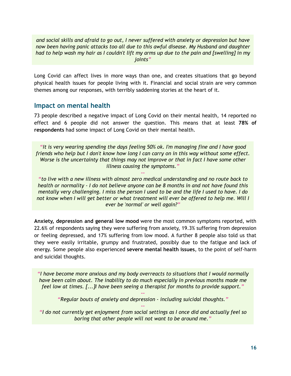*and social skills and afraid to go out, I never suffered with anxiety or depression but have now been having panic attacks too all due to this awful disease. My Husband and daughter* had to help wash my hair as I couldn't lift my arms up due to the pain and [swelling] in my *joints"*

Long Covid can affect lives in more ways than one, and creates situations that go beyond physical health issues for people living with it. Financial and social strain are very common themes among our responses, with terribly saddening stories at the heart of it.

### <span id="page-15-0"></span>**Impact on mental health**

73 people described a negative impact of Long Covid on their mental health, 14 reported no effect and 6 people did not answer the question. This means that at least **78% of respondents** had some impact of Long Covid on their mental health.

*"It is very wearing spending the days feeling 50% ok. I'm managing fine and I have good friends who help but I don't know how long I can carry on in this way without some effect. Worse is the uncertainty that things may not improve or that in fact I have some other illness causing the symptoms."*

*--*

*"to live with a new illness with almost zero medical understanding and no route back to health or normality - I do not believe anyone can be 8 months in and not have found this* mentally very challenging. I miss the person I used to be and the life I used to have. I do *not know when I will get better or what treatment will ever be offered to help me. Will I ever be 'normal' or well again?"*

**Anxiety, depression and general low mood** were the most common symptoms reported, with 22.6% of respondents saying they were suffering from anxiety, 19.3% suffering from depression or feeling depressed, and 17% suffering from low mood. A further 8 people also told us that they were easily irritable, grumpy and frustrated, possibly due to the fatigue and lack of energy. Some people also experienced **severe mental health issues**, to the point of self-harm and suicidal thoughts.

*"I have become more anxious and my body overreacts to situations that I would normally have been calm about. The inability to do much especially in previous months made me feel low at times. [...]I have been seeing a therapist for months to provide support."*

*-- "Regular bouts of anxiety and depression - including suicidal thoughts." --*

*"I do not currently get enjoyment from social settings as I once did and actually feel so boring that other people will not want to be around me."*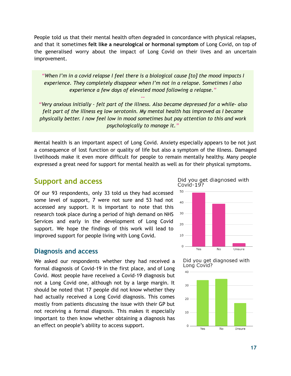People told us that their mental health often degraded in concordance with physical relapses, and that it sometimes **felt like a neurological or hormonal symptom** of Long Covid, on top of the generalised worry about the impact of Long Covid on their lives and an uncertain improvement.

*"When I'm in a covid relapse I feel there is a biological cause [to] the mood impacts I experience. They completely disappear when I'm not in a relapse. Sometimes I also experience a few days of elevated mood following a relapse."*

*"Very anxious initially - felt part of the illness. Also became depressed for a while- also felt part of the illness eg low serotonin. My mental health has improved as I became physically better. I now feel low in mood sometimes but pay attention to this and work psychologically to manage it."*

*--*

Mental health is an important aspect of Long Covid. Anxiety especially appears to be not just a consequence of lost function or quality of life but also a symptom of the illness. Damaged livelihoods make it even more difficult for people to remain mentally healthy. Many people expressed a great need for support for mental health as well as for their physical symptoms.

### <span id="page-16-0"></span>**Support and access**

Of our 93 respondents, only 33 told us they had accessed some level of support, 7 were not sure and 53 had not accessed any support. It is important to note that this research took place during a period of high demand on NHS Services and early in the development of Long Covid support. We hope the findings of this work will lead to improved support for people living with Long Covid.

### <span id="page-16-1"></span>**Diagnosis and access**

We asked our respondents whether they had received a formal diagnosis of Covid-19 in the first place, and of Long Covid. Most people have received a Covid-19 diagnosis but not a Long Covid one, although not by a large margin. It should be noted that 17 people did not know whether they had actually received a Long Covid diagnosis. This comes mostly from patients discussing the issue with their GP but not receiving a formal diagnosis. This makes it especially important to then know whether obtaining a diagnosis has an effect on people's ability to access support.







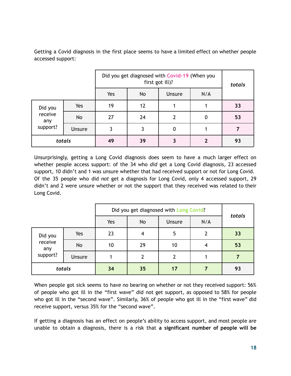Getting a Covid diagnosis in the first place seems to have a limited effect on whether people accessed support:

|                |        |     | Did you get diagnosed with Covid-19 (When you<br>first got ill)? |        |     |    |
|----------------|--------|-----|------------------------------------------------------------------|--------|-----|----|
|                |        | Yes | No                                                               | Unsure | N/A |    |
| Did you        | Yes    | 19  | 12                                                               |        |     | 33 |
| receive<br>any | No     | 27  | 24                                                               |        | 0   | 53 |
| support?       | Unsure | 3   | 3                                                                | 0      |     |    |
|                | totals | 49  | 39                                                               | 3      | 2   | 93 |

Unsurprisingly, getting a Long Covid diagnosis does seem to have a much larger effect on whether people access support: of the 34 who *did* get a Long Covid diagnosis, 23 accessed support, 10 didn't and 1 was unsure whether that had received support or not for Long Covid. Of the 35 people who did *not* get a diagnosis for Long Covid, only 4 accessed support, 29 didn't and 2 were unsure whether or not the support that they received was related to their Long Covid.

|                            |               | Did you get diagnosed with Long Covid? |                |        |                |        |
|----------------------------|---------------|----------------------------------------|----------------|--------|----------------|--------|
|                            |               | Yes                                    | No             | Unsure | N/A            | totals |
| Did you                    | Yes           | 23                                     | $\overline{4}$ | 5      | $\overline{2}$ | 33     |
| receive<br>any<br>support? | No            | 10                                     | 29             | 10     | 4              | 53     |
|                            | <b>Unsure</b> |                                        | 2              |        |                |        |
|                            | totals        | 34                                     | 35             | 17     |                | 93     |

When people got sick seems to have no bearing on whether or not they received support: 56% of people who got ill in the "first wave" did not get support, as opposed to 58% for people who got ill in the "second wave". Similarly, 36% of people who got ill in the "first wave" did receive support, versus 35% for the "second wave".

If getting a diagnosis has an effect on people's ability to access support, and most people are unable to obtain a diagnosis, there is a risk that **a significant number of people will be**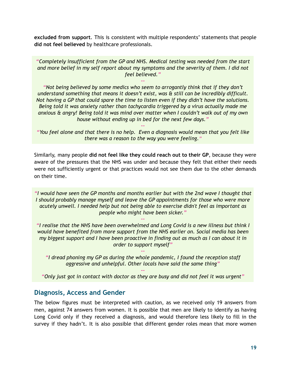**excluded from support**. This is consistent with multiple respondents' statements that people **did not feel believed** by healthcare professionals.

*"Completely insufficient from the GP and NHS. Medical testing was needed from the start and more belief in my self report about my symptoms and the severity of them. I did not feel believed."*

*--*

*"Not being believed by some medics who seem to arrogantly think that if they don't understand something that means it doesn't exist, was & still can be incredibly difficult. Not having a GP that could spare the time to listen even if they didn't have the solutions. Being told it was anxiety rather than tachycardia triggered by a virus actually made me anxious & angry! Being told it was mind over matter when I couldn't walk out of my own house without ending up in bed for the next few days."*

*-- "You feel alone and that there is no help. Even a diagnosis would mean that you felt like there was a reason to the way you were feeling."*

Similarly, many people **did not feel like they could reach out to their GP**, because they were aware of the pressures that the NHS was under and because they felt that either their needs were not sufficiently urgent or that practices would not see them due to the other demands on their time.

*"I would have seen the GP months and months earlier but with the 2nd wave I thought that I should probably manage myself and leave the GP appointments for those who were more acutely unwell. I needed help but not being able to exercise didn't feel as important as people who might have been sicker."*

*"I realise that the NHS have been overwhelmed and Long Covid is a new illness but think I would have benefited from more support from the NHS earlier on. Social media has been my biggest support and I have been proactive in finding out as much as I can about it in order to support myself"*

*--*

*"I dread phoning my GP as during the whole pandemic, I found the reception staff aggressive and unhelpful. Other locals have said the same thing"*

*--*

*--* "Only just got in contact with doctor as they are busy and did not feel it was urgent"

### <span id="page-18-0"></span>**Diagnosis, Access and Gender**

The below figures must be interpreted with caution, as we received only 19 answers from men, against 74 answers from women. It is possible that men are likely to identify as having Long Covid only if they received a diagnosis, and would therefore less likely to fill in the survey if they hadn't. It is also possible that different gender roles mean that more women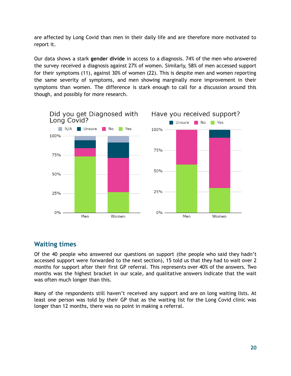are affected by Long Covid than men in their daily life and are therefore more motivated to report it.

Our data shows a stark **gender divide** in access to a diagnosis. 74% of the men who answered the survey received a diagnosis against 27% of women. Similarly, 58% of men accessed support for their symptoms (11), against 30% of women (22). This is despite men and women reporting the same severity of symptoms, and men showing marginally more improvement in their symptoms than women. The difference is stark enough to call for a discussion around this though, and possibly for more research.



### <span id="page-19-0"></span>**Waiting times**

Of the 40 people who answered our questions on support (the people who said they hadn't accessed support were forwarded to the next section), 15 told us that they had to wait over 2 months for support after their first GP referral. This represents over 40% of the answers. Two months was the highest bracket in our scale, and qualitative answers indicate that the wait was often much longer than this.

Many of the respondents still haven't received any support and are on long waiting lists. At least one person was told by their GP that as the waiting list for the Long Covid clinic was longer than 12 months, there was no point in making a referral.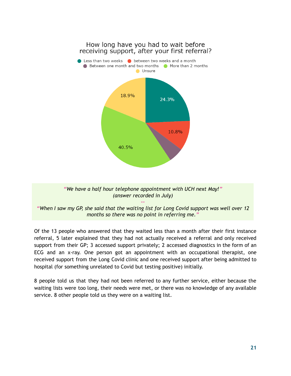

Of the 13 people who answered that they waited less than a month after their first instance referral, 5 later explained that they had not actually received a referral and only received support from their GP; 3 accessed support privately; 2 accessed diagnostics in the form of an ECG and an x-ray. One person got an appointment with an occupational therapist, one received support from the Long Covid clinic and one received support after being admitted to hospital (for something unrelated to Covid but testing positive) initially.

8 people told us that they had not been referred to any further service, either because the waiting lists were too long, their needs were met, or there was no knowledge of any available service. 8 other people told us they were on a waiting list.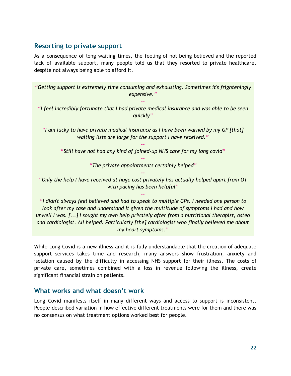### <span id="page-21-0"></span>**Resorting to private support**

As a consequence of long waiting times, the feeling of not being believed and the reported lack of available support, many people told us that they resorted to private healthcare, despite not always being able to afford it.

*"Getting support is extremely time consuming and exhausting. Sometimes it's frighteningly expensive."*

*"I feel incredibly fortunate that I had private medical insurance and was able to be seen quickly"*

*--*

*--*

*"I am lucky to have private medical insurance as I have been warned by my GP [that] waiting lists are large for the support I have received."*

*-- "Still have not had any kind of joined-up NHS care for my long covid"*

> *-- "The private appointments certainly helped" --*

*"Only the help I have received at huge cost privately has actually helped apart from OT with pacing has been helpful"*

*--*

*"I didn't always feel believed and had to speak to multiple GPs. I needed one person to look after my case and understand it given the multitude of symptoms I had and how unwell I was. [...] I sought my own help privately after from a nutritional therapist, osteo and cardiologist. All helped. Particularly [the] cardiologist who finally believed me about my heart symptoms."*

While Long Covid is a new illness and it is fully understandable that the creation of adequate support services takes time and research, many answers show frustration, anxiety and isolation caused by the difficulty in accessing NHS support for their illness. The costs of private care, sometimes combined with a loss in revenue following the illness, create significant financial strain on patients.

### <span id="page-21-1"></span>**What works and what doesn't work**

Long Covid manifests itself in many different ways and access to support is inconsistent. People described variation in how effective different treatments were for them and there was no consensus on what treatment options worked best for people.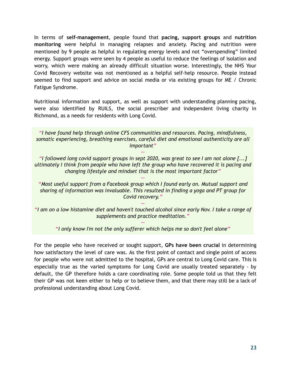In terms of **self-management**, people found that **pacing, support groups** and **nutrition monitoring** were helpful in managing relapses and anxiety. Pacing and nutrition were mentioned by 9 people as helpful in regulating energy levels and not "overspending" limited energy. Support groups were seen by 4 people as useful to reduce the feelings of isolation and worry, which were making an already difficult situation worse. Interestingly, the NHS Your Covid Recovery website was not mentioned as a helpful self-help resource. People instead seemed to find support and advice on social media or via existing groups for ME / Chronic Fatigue Syndrome.

Nutritional information and support, as well as support with understanding planning pacing, were also identified by RUILS, the social prescriber and independent living charity in Richmond, as a needs for residents with Long Covid.

*"I have found help through online CFS communities and resources. Pacing, mindfulness, somatic experiencing, breathing exercises, careful diet and emotional authenticity are all important"*

*"I followed long covid support groups in sept 2020, was great to see I am not alone [...] ultimately I think from people who have left the group who have recovered it is pacing and changing lifestyle and mindset that is the most important factor"*

*--*

*--*

*"Most useful support from a Facebook group which I found early on. Mutual support and sharing of information was invaluable. This resulted in finding a yoga and PT group for Covid recovery."*

"I am on a low histamine diet and haven't touched alcohol since early Nov. I take a range of *supplements and practice meditation."*

*--*

*-- "I only know I'm not the only sufferer which helps me so don't feel alone"*

For the people who have received or sought support, **GPs have been crucial** in determining how satisfactory the level of care was. As the first point of contact and single point of access for people who were not admitted to the hospital, GPs are central to Long Covid care. This is especially true as the varied symptoms for Long Covid are usually treated separately - by default, the GP therefore holds a care coordinating role. Some people told us that they felt their GP was not keen either to help or to believe them, and that there may still be a lack of professional understanding about Long Covid.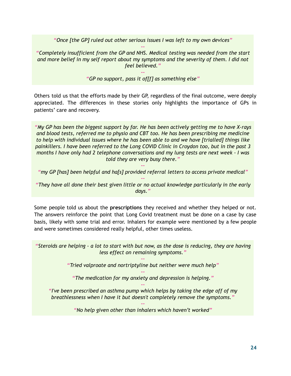*"Once [the GP] ruled out other serious issues I was left to my own devices" --*

*"Completely insufficient from the GP and NHS. Medical testing was needed from the start and more belief in my self report about my symptoms and the severity of them. I did not feel believed."*

#### *-- "GP no support, pass it of[f] as something else"*

Others told us that the efforts made by their GP, regardless of the final outcome, were deeply appreciated. The differences in these stories only highlights the importance of GPs in patients' care and recovery.

*"My GP has been the biggest support by far. He has been actively getting me to have X-rays and blood tests, referred me to physio and CBT too. He has been prescribing me medicine to help with individual issues where he has been able to and we have [trialled] things like painkillers. I have been referred to the Long COVID Clinic in Croydon too, but in the past 3 months I have only had 2 telephone conversations and my lung tests are next week - I was told they are very busy there."*

*-- "my GP [has] been helpful and ha[s] provided referral letters to access private medical" --*

*"They have all done their best given little or no actual knowledge particularly in the early days."*

Some people told us about the **prescriptions** they received and whether they helped or not. The answers reinforce the point that Long Covid treatment must be done on a case by case basis, likely with some trial and error. Inhalers for example were mentioned by a few people and were sometimes considered really helpful, other times useless.

"Steroids are helping - a lot to start with but now, as the dose is reducing, they are having *less effect on remaining symptoms."*

> *-- "Tried valproate and nortriptyline but neither were much help"*

*-- "The medication for my anxiety and depression is helping." --*

*"I've been prescribed an asthma pump which helps by taking the edge off of my breathlessness when I have it but doesn't completely remove the symptoms."*

> *-- "No help given other than inhalers which haven't worked"*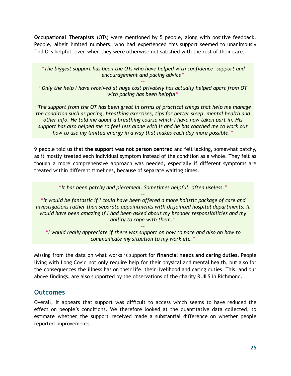**Occupational Therapists** (OTs) were mentioned by 5 people, along with positive feedback. People, albeit limited numbers, who had experienced this support seemed to unanimously find OTs helpful, even when they were otherwise not satisfied with the rest of their care.

*"The biggest support has been the OTs who have helped with confidence, support and encouragement and pacing advice"*

*-- "Only the help I have received at huge cost privately has actually helped apart from OT with pacing has been helpful"*

*--*

*"The support from the OT has been great in terms of practical things that help me manage the condition such as pacing, breathing exercises, tips for better sleep, mental health and other info. He told me about a breathing course which I have now taken part in. His support has also helped me to feel less alone with it and he has coached me to work out how to use my limited energy in a way that makes each day more possible."*

9 people told us that **the support was not person centred** and felt lacking, somewhat patchy, as it mostly treated each individual symptom instead of the condition as a whole. They felt as though a more comprehensive approach was needed, especially if different symptoms are treated within different timelines, because of separate waiting times.

*"It has been patchy and piecemeal. Sometimes helpful, often useless."*

*-- "It would be fantastic if I could have been offered a more holistic package of care and investigations rather than separate appointments with disjointed hospital departments. It would have been amazing if I had been asked about my broader responsibilities and my ability to cope with them."*

*-- "I would really appreciate if there was support on how to pace and also on how to communicate my situation to my work etc."*

Missing from the data on what works is support for **financial needs and caring duties**. People living with Long Covid not only require help for their physical and mental health, but also for the consequences the illness has on their life, their livelihood and caring duties. This, and our above findings, are also supported by the observations of the charity RUILS in Richmond.

### <span id="page-24-0"></span>**Outcomes**

Overall, it appears that support was difficult to access which seems to have reduced the effect on people's conditions. We therefore looked at the quantitative data collected, to estimate whether the support received made a substantial difference on whether people reported improvements.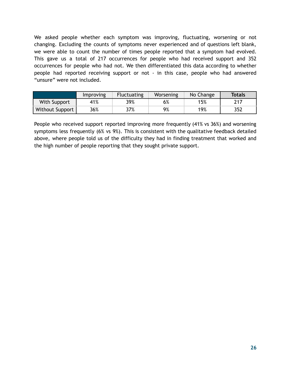We asked people whether each symptom was improving, fluctuating, worsening or not changing. Excluding the counts of symptoms never experienced and of questions left blank, we were able to count the number of times people reported that a symptom had evolved. This gave us a total of 217 occurrences for people who had received support and 352 occurrences for people who had not. We then differentiated this data according to whether people had reported receiving support or not - in this case, people who had answered "unsure" were not included.

|                 | Improving | <b>Fluctuating</b> | Worsening | No Change | <b>Totals</b> |
|-----------------|-----------|--------------------|-----------|-----------|---------------|
| With Support    | 41%       | 39%                | 6%        | 15%       | 217           |
| Without Support | 36%       | 37%                | 9%        | 19%       | 352           |

People who received support reported improving more frequently (41% vs 36%) and worsening symptoms less frequently (6% vs 9%). This is consistent with the qualitative feedback detailed above, where people told us of the difficulty they had in finding treatment that worked and the high number of people reporting that they sought private support.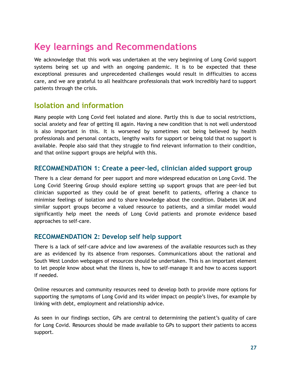### <span id="page-26-0"></span>**Key learnings and Recommendations**

We acknowledge that this work was undertaken at the very beginning of Long Covid support systems being set up and with an ongoing pandemic. It is to be expected that these exceptional pressures and unprecedented challenges would result in difficulties to access care, and we are grateful to all healthcare professionals that work incredibly hard to support patients through the crisis.

### <span id="page-26-1"></span>**Isolation and information**

Many people with Long Covid feel isolated and alone. Partly this is due to social restrictions, social anxiety and fear of getting ill again. Having a new condition that is not well understood is also important in this. It is worsened by sometimes not being believed by health professionals and personal contacts, lengthy waits for support or being told that no support is available. People also said that they struggle to find relevant information to their condition, and that online support groups are helpful with this.

### <span id="page-26-2"></span>**RECOMMENDATION 1: Create a peer-led, clinician aided support group**

There is a clear demand for peer support and more widespread education on Long Covid. The Long Covid Steering Group should explore setting up support groups that are peer-led but clinician supported as they could be of great benefit to patients, offering a chance to minimise feelings of isolation and to share knowledge about the condition. Diabetes UK and similar support groups become a valued resource to patients, and a similar model would significantly help meet the needs of Long Covid patients and promote evidence based approaches to self-care.

### <span id="page-26-3"></span>**RECOMMENDATION 2: Develop self help support**

There is a lack of self-care advice and low awareness of the available resources such as they are as evidenced by its absence from responses. Communications about the national and South West London webpages of resources should be undertaken. This is an important element to let people know about what the illness is, how to self-manage it and how to access support if needed.

Online resources and community resources need to develop both to provide more options for supporting the symptoms of Long Covid and its wider impact on people's lives, for example by linking with debt, employment and relationship advice.

As seen in our findings section, GPs are central to determining the patient's quality of care for Long Covid. Resources should be made available to GPs to support their patients to access support.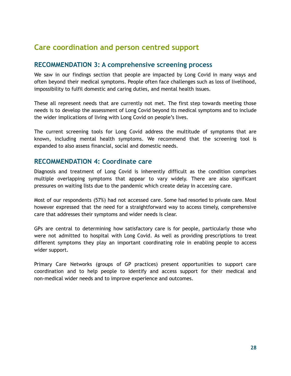### <span id="page-27-0"></span>**Care coordination and person centred support**

### <span id="page-27-1"></span>**RECOMMENDATION 3: A comprehensive screening process**

We saw in our findings section that people are impacted by Long Covid in many ways and often beyond their medical symptoms. People often face challenges such as loss of livelihood, impossibility to fulfil domestic and caring duties, and mental health issues.

These all represent needs that are currently not met. The first step towards meeting those needs is to develop the assessment of Long Covid beyond its medical symptoms and to include the wider implications of living with Long Covid on people's lives.

The current screening tools for Long Covid address the multitude of symptoms that are known, including mental health symptoms. We recommend that the screening tool is expanded to also assess financial, social and domestic needs.

### <span id="page-27-2"></span>**RECOMMENDATION 4: Coordinate care**

Diagnosis and treatment of Long Covid is inherently difficult as the condition comprises multiple overlapping symptoms that appear to vary widely. There are also significant pressures on waiting lists due to the pandemic which create delay in accessing care.

Most of our respondents (57%) had not accessed care. Some had resorted to private care. Most however expressed that the need for a straightforward way to access timely, comprehensive care that addresses their symptoms and wider needs is clear.

GPs are central to determining how satisfactory care is for people, particularly those who were not admitted to hospital with Long Covid. As well as providing prescriptions to treat different symptoms they play an important coordinating role in enabling people to access wider support.

Primary Care Networks (groups of GP practices) present opportunities to support care coordination and to help people to identify and access support for their medical and non-medical wider needs and to improve experience and outcomes.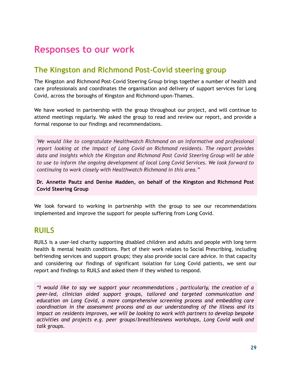### <span id="page-28-0"></span>**Responses to our work**

### **The Kingston and Richmond Post-Covid steering group**

The Kingston and Richmond Post-Covid Steering Group brings together a number of health and care professionals and coordinates the organisation and delivery of support services for Long Covid, across the boroughs of Kingston and Richmond-upon-Thames.

We have worked in partnership with the group throughout our project, and will continue to attend meetings regularly. We asked the group to read and review our report, and provide a formal response to our findings and recommendations.

*'We would like to congratulate Healthwatch Richmond on an informative and professional report looking at the impact of Long Covid on Richmond residents. The report provides data and insights which the Kingston and Richmond Post Covid Steering Group will be able to use to inform the ongoing development of local Long Covid Services. We look forward to continuing to work closely with Healthwatch Richmond in this area."*

**Dr. Annette Pautz and Denise Madden, on behalf of the Kingston and Richmond Post Covid Steering Group**

We look forward to working in partnership with the group to see our recommendations implemented and improve the support for people suffering from Long Covid.

### **RUILS**

RUILS is a user-led charity supporting disabled children and adults and people with long term health & mental health conditions. Part of their work relates to Social Prescribing, including befriending services and support groups; they also provide social care advice. In that capacity and considering our findings of significant isolation for Long Covid patients, we sent our report and findings to RUILS and asked them if they wished to respond.

*"I would like to say we support your recommendations , particularly, the creation of a peer-led, clinician aided support groups, tailored and targeted communication and education on Long Covid, a more comprehensive screening process and embedding care coordination in the assessment process and as our understanding of the illness and its impact on residents improves, we will be looking to work with partners to develop bespoke activities and projects e.g. peer groups/breathlessness workshops, Long Covid walk and talk groups.*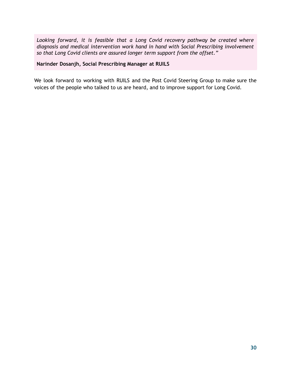*Looking forward, it is feasible that a Long Covid recovery pathway be created where diagnosis and medical intervention work hand in hand with Social Prescribing involvement so that Long Covid clients are assured longer term support from the offset."*

**Narinder Dosanjh, Social Prescribing Manager at RUILS**

We look forward to working with RUILS and the Post Covid Steering Group to make sure the voices of the people who talked to us are heard, and to improve support for Long Covid.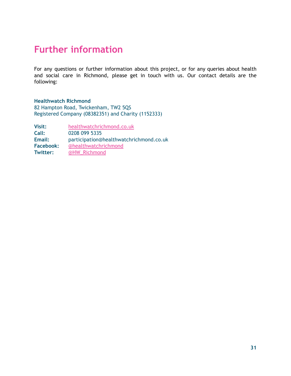### <span id="page-30-0"></span>**Further information**

For any questions or further information about this project, or for any queries about health and social care in Richmond, please get in touch with us. Our contact details are the following:

#### **Healthwatch Richmond**

82 Hampton Road, Twickenham, TW2 5QS Registered Company (08382351) and Charity (1152333)

| Visit:           | healthwatchrichmond.co.uk               |
|------------------|-----------------------------------------|
| Call:            | 0208 099 5335                           |
| Email:           | participation@healthwatchrichmond.co.uk |
| <b>Facebook:</b> | <b>@healthwatchrichmond</b>             |
| <b>Twitter:</b>  | @HW_Richmond                            |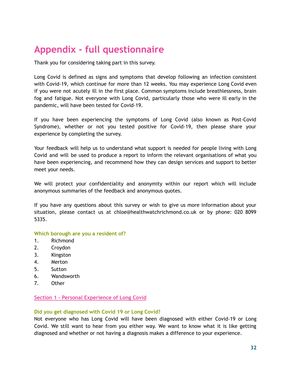### <span id="page-31-0"></span>**Appendix - full questionnaire**

Thank you for considering taking part in this survey.

Long Covid is defined as signs and symptoms that develop following an infection consistent with Covid-19, which continue for more than 12 weeks. You may experience Long Covid even if you were not acutely ill in the first place. Common symptoms include breathlessness, brain fog and fatigue. Not everyone with Long Covid, particularly those who were ill early in the pandemic, will have been tested for Covid-19.

If you have been experiencing the symptoms of Long Covid (also known as Post-Covid Syndrome), whether or not you tested positive for Covid-19, then please share your experience by completing the survey.

Your feedback will help us to understand what support is needed for people living with Long Covid and will be used to produce a report to inform the relevant organisations of what you have been experiencing, and recommend how they can design services and support to better meet your needs.

We will protect your confidentiality and anonymity within our report which will include anonymous summaries of the feedback and anonymous quotes.

If you have any questions about this survey or wish to give us more information about your situation, please contact us at chloe@healthwatchrichmond.co.uk or by phone: 020 8099 5335.

### **Which borough are you a resident of?**

- 1. Richmond
- 2. Croydon
- 3. Kingston
- 4. Merton
- 5. Sutton
- 6. Wandsworth
- 7. Other

### **Section 1 - Personal Experience of Long Covid**

### **Did you get diagnosed with Covid 19 or Long Covid?**

Not everyone who has Long Covid will have been diagnosed with either Covid-19 or Long Covid. We still want to hear from you either way. We want to know what it is like getting diagnosed and whether or not having a diagnosis makes a difference to your experience.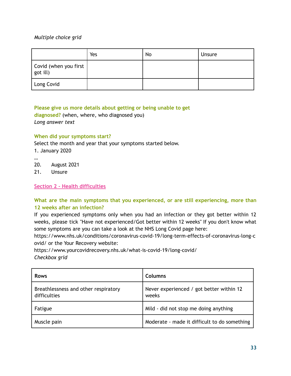### *Multiple choice grid*

|                                                  | Yes | No | Unsure |
|--------------------------------------------------|-----|----|--------|
| Covid (when you first<br>$\sqrt{\text{got ill}}$ |     |    |        |
| Long Covid                                       |     |    |        |

**Please give us more details about getting or being unable to get diagnosed?** (when, where, who diagnosed you) *Long answer text*

### **When did your symptoms start?**

Select the month and year that your symptoms started below.

- 1. January 2020
- …

20. August 2021

21. Unsure

**Section 2 - Health difficulties**

### **What are the main symptoms that you experienced, or are still experiencing, more than 12 weeks after an infection?**

If you experienced symptoms only when you had an infection or they got better within 12 weeks, please tick "Have not experienced/Got better within 12 weeks" If you don't know what some symptoms are you can take a look at the NHS Long Covid page here:

https://www.nhs.uk/conditions/coronavirus-covid-19/long-term-effects-of-coronavirus-long-c ovid/ or the Your Recovery website:

https://www.yourcovidrecovery.nhs.uk/what-is-covid-19/long-covid/ *Checkbox grid*

| <b>Rows</b>                                          | Columns                                           |
|------------------------------------------------------|---------------------------------------------------|
| Breathlessness and other respiratory<br>difficulties | Never experienced / got better within 12<br>weeks |
| Fatigue                                              | Mild - did not stop me doing anything             |
| Muscle pain                                          | Moderate - made it difficult to do something      |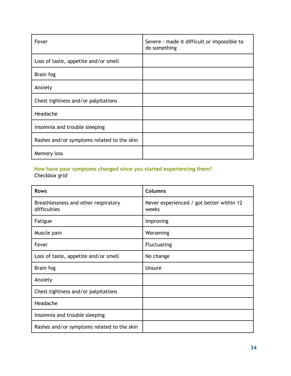| Fever                                      | Severe - made it difficult or impossible to<br>do something |
|--------------------------------------------|-------------------------------------------------------------|
| Loss of taste, appetite and/or smell       |                                                             |
| Brain fog                                  |                                                             |
| Anxiety                                    |                                                             |
| Chest tightness and/or palpitations        |                                                             |
| Headache                                   |                                                             |
| Insomnia and trouble sleeping              |                                                             |
| Rashes and/or symptoms related to the skin |                                                             |
| Memory loss                                |                                                             |

#### **How have your symptoms changed since you started experiencing them?** *Checkbox grid*

| <b>Rows</b>                                          | <b>Columns</b>                                    |
|------------------------------------------------------|---------------------------------------------------|
| Breathlessness and other respiratory<br>difficulties | Never experienced / got better within 12<br>weeks |
| Fatigue                                              | Improving                                         |
| Muscle pain                                          | Worsening                                         |
| Fever                                                | <b>Fluctuating</b>                                |
| Loss of taste, appetite and/or smell                 | No change                                         |
| Brain fog                                            | <b>Unsure</b>                                     |
| Anxiety                                              |                                                   |
| Chest tightness and/or palpitations                  |                                                   |
| Headache                                             |                                                   |
| Insomnia and trouble sleeping                        |                                                   |
| Rashes and/or symptoms related to the skin           |                                                   |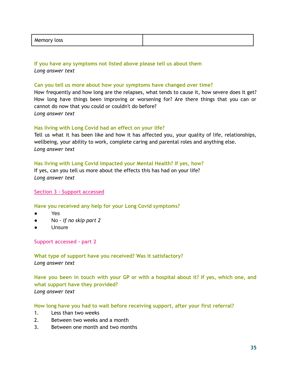| Memor<br>$\sim$ $\sim$<br>ເບວວ |  |
|--------------------------------|--|
|                                |  |

### **If you have any symptoms not listed above please tell us about them** *Long answer text*

#### **Can you tell us more about how your symptoms have changed over time?**

How frequently and how long are the relapses, what tends to cause it, how severe does it get? How long have things been improving or worsening for? Are there things that you can or cannot do now that you could or couldn't do before? *Long answer text*

### **Has living with Long Covid had an effect on your life?**

Tell us what it has been like and how it has affected you, your quality of life, relationships, wellbeing, your ability to work, complete caring and parental roles and anything else. *Long answer text*

### **Has living with Long Covid impacted your Mental Health? If yes, how?**

If yes, can you tell us more about the effects this has had on your life? *Long answer text*

### **Section 3 - Support accessed**

### **Have you received any help for your Long Covid symptoms?**

- Yes
- No *- if no skip part 2*
- Unsure

#### **Support accessed - part 2**

**What type of support have you received? Was it satisfactory?** *Long answer text*

**Have you been in touch with your GP or with a hospital about it? If yes, which one, and what support have they provided?** *Long answer text*

### **How long have you had to wait before receiving support, after your first referral?**

- 1. Less than two weeks
- 2. Between two weeks and a month
- 3. Between one month and two months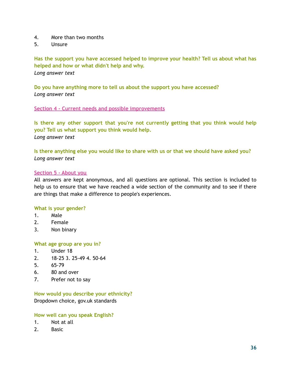- 4. More than two months
- 5. Unsure

**Has the support you have accessed helped to improve your health? Tell us about what has helped and how or what didn't help and why.** *Long answer text*

**Do you have anything more to tell us about the support you have accessed?** *Long answer text*

#### **Section 4 - Current needs and possible improvements**

**Is there any other support that you're not currently getting that you think would help you? Tell us what support you think would help.** *Long answer text*

**Is there anything else you would like to share with us or that we should have asked you?** *Long answer text*

#### **Section 5 - About you**

All answers are kept anonymous, and all questions are optional. This section is included to help us to ensure that we have reached a wide section of the community and to see if there are things that make a difference to people's experiences.

#### **What is your gender?**

- 1. Male
- 2. Female
- 3. Non binary

#### **What age group are you in?**

- 1. Under 18
- 2. 18-25 3. 25-49 4. 50-64
- 5. 65-79
- 6. 80 and over
- 7. Prefer not to say

### **How would you describe your ethnicity?**

Dropdown choice, gov.uk standards

#### **How well can you speak English?**

- 1. Not at all
- 2. Basic